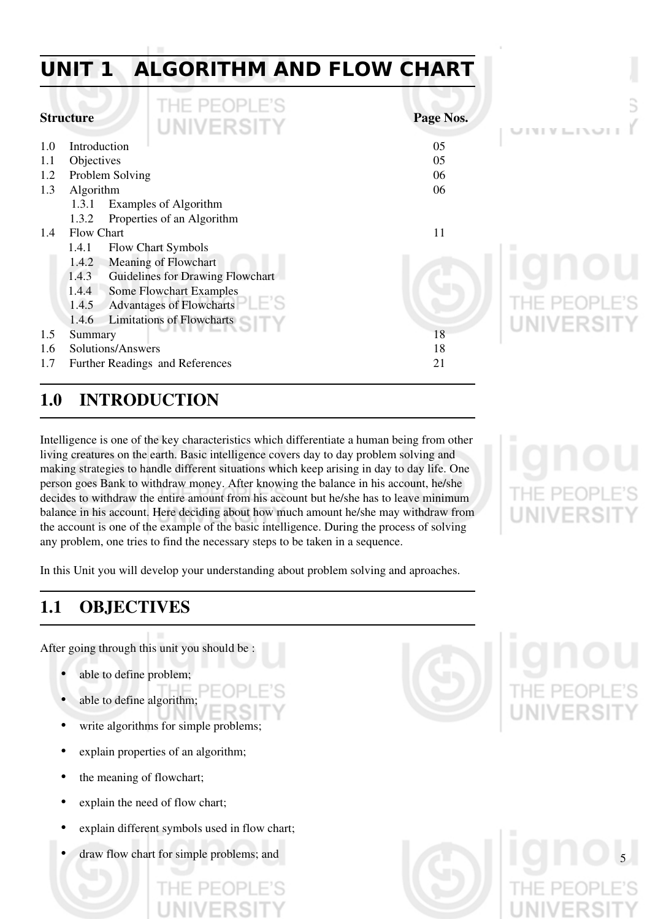|                                | UNIT 1 ALGORITHM AND FLOW CHART           |           |         |
|--------------------------------|-------------------------------------------|-----------|---------|
| <b>Structure</b><br>UNIVERSITY |                                           | Page Nos. |         |
| 1.0                            | Introduction                              | 05        |         |
| 1.1                            | Objectives                                | 05        |         |
| 1.2                            | Problem Solving                           | 06        |         |
| 1.3                            | Algorithm                                 | 06        |         |
|                                | Examples of Algorithm<br>1.3.1            |           |         |
|                                | Properties of an Algorithm<br>1.3.2       |           |         |
| 1.4                            | <b>Flow Chart</b>                         | 11        |         |
|                                | <b>Flow Chart Symbols</b><br>1.4.1        | ш         |         |
|                                | Meaning of Flowchart<br>1.4.2             |           |         |
|                                | Guidelines for Drawing Flowchart<br>1.4.3 |           |         |
|                                | <b>Some Flowchart Examples</b><br>1.4.4   |           |         |
|                                | <b>Advantages of Flowcharts</b><br>1.4.5  |           |         |
|                                | Limitations of Flowcharts<br>1.4.6        |           | UNIVERS |
| 1.5                            | Summary                                   | 18        |         |
| 1.6                            | Solutions/Answers                         | 18        |         |
| 1.7                            | Further Readings and References           | 21        |         |
|                                |                                           |           |         |

# 1.0 INTRODUCTION

Intelligence is one of the key characteristics which differentiate a human being from other living creatures on the earth. Basic intelligence covers day to day problem solving and making strategies to handle different situations which keep arising in day to day life. One person goes Bank to withdraw money. After knowing the balance in his account, he/she decides to withdraw the entire amount from his account but he/she has to leave minimum balance in his account. Here deciding about how much amount he/she may withdraw from the account is one of the example of the basic intelligence. During the process of solving any problem, one tries to find the necessary steps to be taken in a sequence.

In this Unit you will develop your understanding about problem solving and aproaches.

# 1.1 OBJECTIVES

After going through this unit you should be :

- able to define problem;
- able to define algorithm;
- write algorithms for simple problems;
- explain properties of an algorithm;
- the meaning of flowchart;
- explain the need of flow chart;
- explain different symbols used in flow chart;
- draw flow chart for simple problems; and



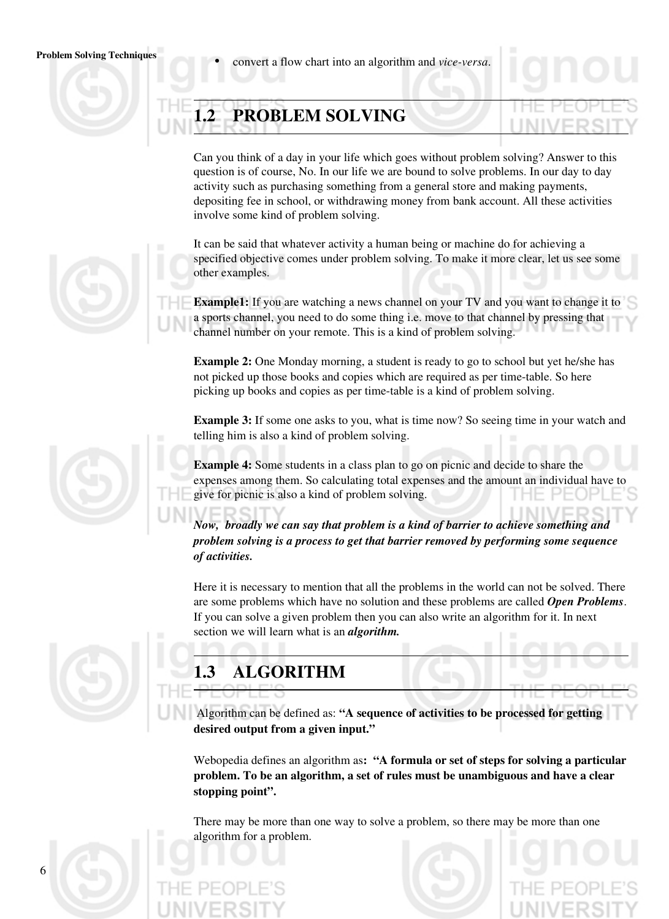# PROBLEM SOLVING

Can you think of a day in your life which goes without problem solving? Answer to this question is of course, No. In our life we are bound to solve problems. In our day to day activity such as purchasing something from a general store and making payments, depositing fee in school, or withdrawing money from bank account. All these activities involve some kind of problem solving.

It can be said that whatever activity a human being or machine do for achieving a specified objective comes under problem solving. To make it more clear, let us see some other examples.

**Example1:** If you are watching a news channel on your TV and you want to change it to a sports channel, you need to do some thing i.e. move to that channel by pressing that channel number on your remote. This is a kind of problem solving.

Example 2: One Monday morning, a student is ready to go to school but yet he/she has not picked up those books and copies which are required as per time-table. So here picking up books and copies as per time-table is a kind of problem solving.

Example 3: If some one asks to you, what is time now? So seeing time in your watch and telling him is also a kind of problem solving.

Example 4: Some students in a class plan to go on picnic and decide to share the expenses among them. So calculating total expenses and the amount an individual have to give for picnic is also a kind of problem solving.

*Now, broadly we can say that problem is a kind of barrier to achieve something and problem solving is a process to get that barrier removed by performing some sequence of activities.*

Here it is necessary to mention that all the problems in the world can not be solved. There are some problems which have no solution and these problems are called *Open Problems*. If you can solve a given problem then you can also write an algorithm for it. In next section we will learn what is an *algorithm.*



# 1.3 ALGORITHM

 Algorithm can be defined as: "A sequence of activities to be processed for getting desired output from a given input."

Webopedia defines an algorithm as: "A formula or set of steps for solving a particular problem. To be an algorithm, a set of rules must be unambiguous and have a clear stopping point".

There may be more than one way to solve a problem, so there may be more than one algorithm for a problem.



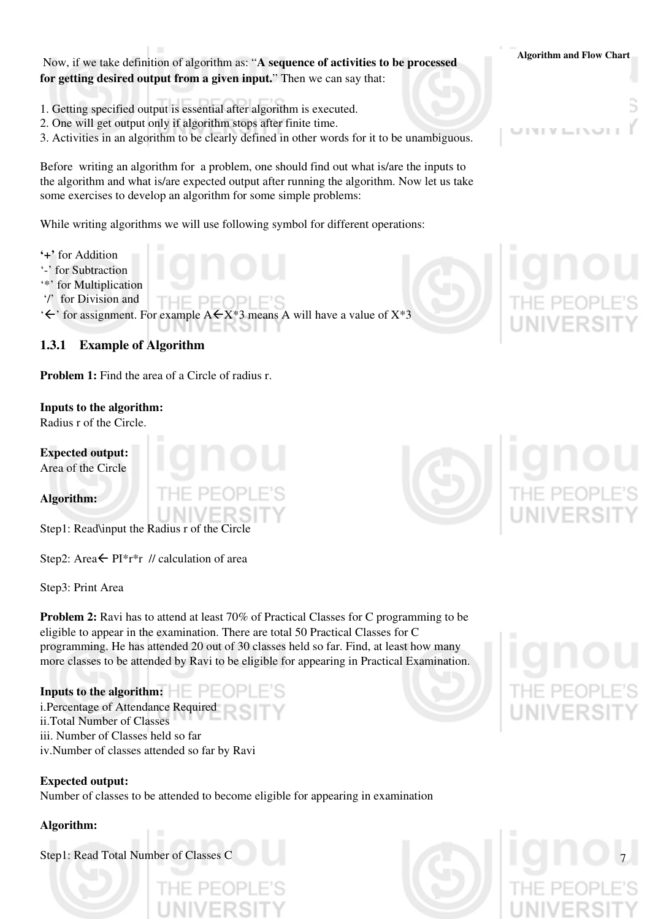Algorithm and Flow Chart Now, if we take definition of algorithm as: "A sequence of activities to be processed for getting desired output from a given input." Then we can say that:

- 1. Getting specified output is essential after algorithm is executed.
- 2. One will get output only if algorithm stops after finite time.
- 3. Activities in an algorithm to be clearly defined in other words for it to be unambiguous.

Before writing an algorithm for a problem, one should find out what is/are the inputs to the algorithm and what is/are expected output after running the algorithm. Now let us take some exercises to develop an algorithm for some simple problems:

While writing algorithms we will use following symbol for different operations:



### 1.3.1 Example of Algorithm

Problem 1: Find the area of a Circle of radius r.

#### Inputs to the algorithm:

Radius r of the Circle.

Expected output: Area of the Circle



Step1: Read\input the Radius r of the Circle

Step2: Area  $\leftarrow$  PI $*$ r $*$ r // calculation of area

Step3: Print Area

Problem 2: Ravi has to attend at least 70% of Practical Classes for C programming to be eligible to appear in the examination. There are total 50 Practical Classes for C programming. He has attended 20 out of 30 classes held so far. Find, at least how many more classes to be attended by Ravi to be eligible for appearing in Practical Examination.

Inputs to the algorithm: i.Percentage of Attendance Required ii.Total Number of Classes iii. Number of Classes held so far iv.Number of classes attended so far by Ravi

Expected output:

Number of classes to be attended to become eligible for appearing in examination

#### Algorithm:

Step1: Read Total Number of Classes C





**THEM ETNOTE**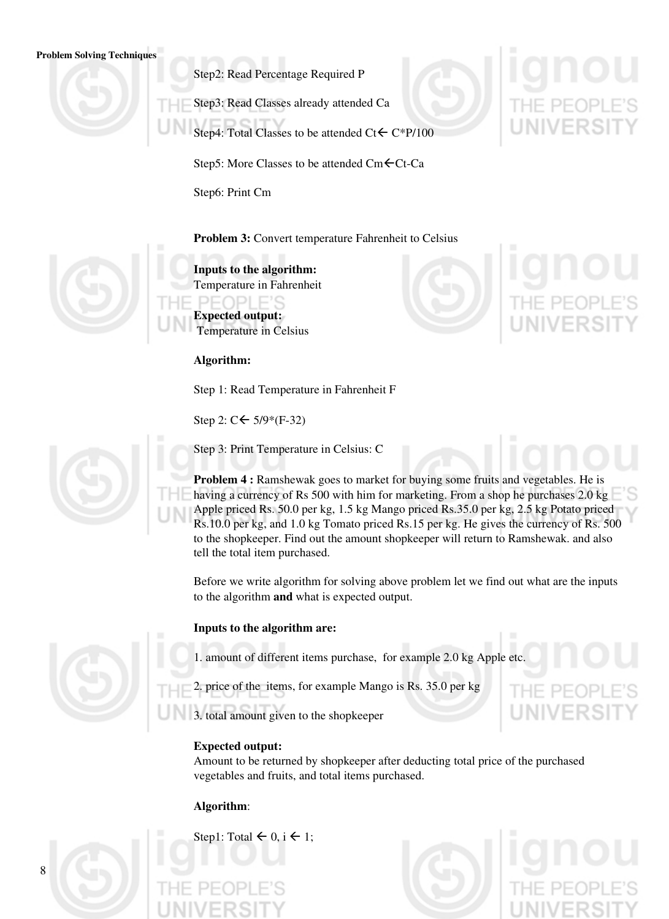#### Problem Solving Techniques

Step2: Read Percentage Required P

Step3: Read Classes already attended Ca

Step4: Total Classes to be attended  $Ct \leftarrow C*P/100$ 

Step5: More Classes to be attended  $Cm \leftarrow Ct-Ca$ 

Step6: Print Cm

#### Problem 3: Convert temperature Fahrenheit to Celsius



Inputs to the algorithm: Temperature in Fahrenheit

PFOPLE'S Expected output: Temperature in Celsius

#### Algorithm:

Step 1: Read Temperature in Fahrenheit F

Step 2:  $C \leftarrow 5/9*(F-32)$ 

Step 3: Print Temperature in Celsius: C

Problem 4 : Ramshewak goes to market for buying some fruits and vegetables. He is having a currency of Rs 500 with him for marketing. From a shop he purchases 2.0 kg Apple priced Rs. 50.0 per kg, 1.5 kg Mango priced Rs.35.0 per kg, 2.5 kg Potato priced Rs.10.0 per kg, and 1.0 kg Tomato priced Rs.15 per kg. He gives the currency of Rs. 500 to the shopkeeper. Find out the amount shopkeeper will return to Ramshewak. and also tell the total item purchased.

Before we write algorithm for solving above problem let we find out what are the inputs to the algorithm and what is expected output.

#### Inputs to the algorithm are:

1. amount of different items purchase, for example 2.0 kg Apple etc.

2. price of the items, for example Mango is Rs. 35.0 per kg

3. total amount given to the shopkeeper

#### Expected output:

Amount to be returned by shopkeeper after deducting total price of the purchased vegetables and fruits, and total items purchased.

#### Algorithm:

Step1: Total  $\leftarrow 0$ , i $\leftarrow 1$ ;





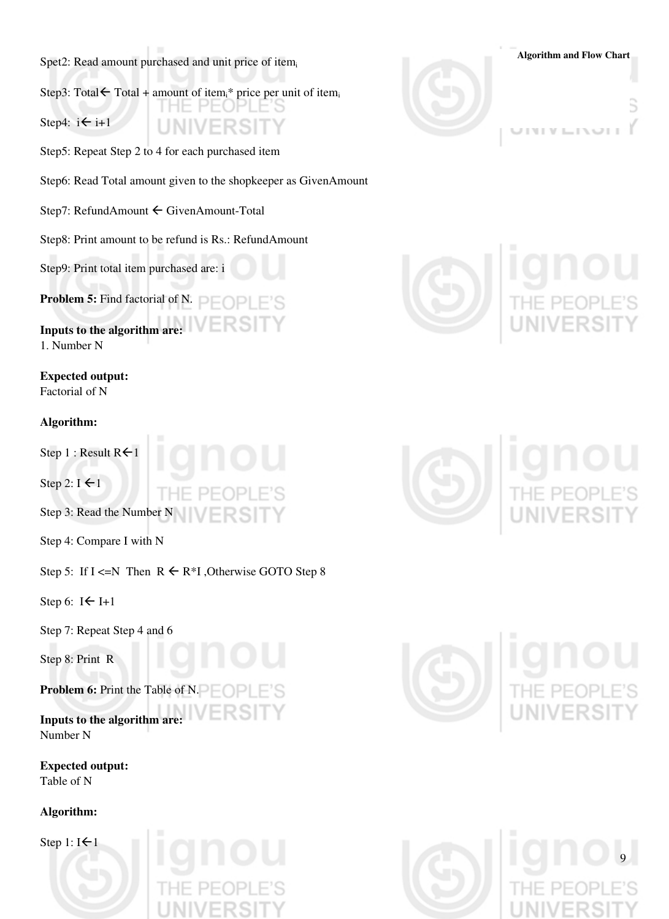Step3: Total  $\leftarrow$  Total + amount of item<sub>i</sub>\* price per unit of item<sub>i</sub>

Step4:  $i \leftarrow i+1$ 

Step5: Repeat Step 2 to 4 for each purchased item

Step6: Read Total amount given to the shopkeeper as GivenAmount

HE PEOPLE'S

v

UNIVERSIT

Step7: RefundAmount  $\leftarrow$  GivenAmount-Total

Step8: Print amount to be refund is Rs.: RefundAmount

Step9: Print total item purchased are: i

**Problem 5:** Find factorial of N.  $\Box \Box \Box$ 

Inputs to the algorithm are: 1. Number N

Expected output: Factorial of N

#### Algorithm:

Step 1 : Result  $R<1$ 

Step 2:  $I \leftarrow 1$ 

Step 3: Read the Number N

Step 4: Compare I with N

Step 5: If  $I \le N$  Then  $R \in R^*I$ , Otherwise GOTO Step 8

Step 6:  $I \leftarrow I+1$ 

Step 7: Repeat Step 4 and 6

Step 8: Print R

Problem 6: Print the Table of N.

Inputs to the algorithm are: Number N

Expected output: Table of N

Algorithm:

Step 1:  $I \leftarrow 1$ 













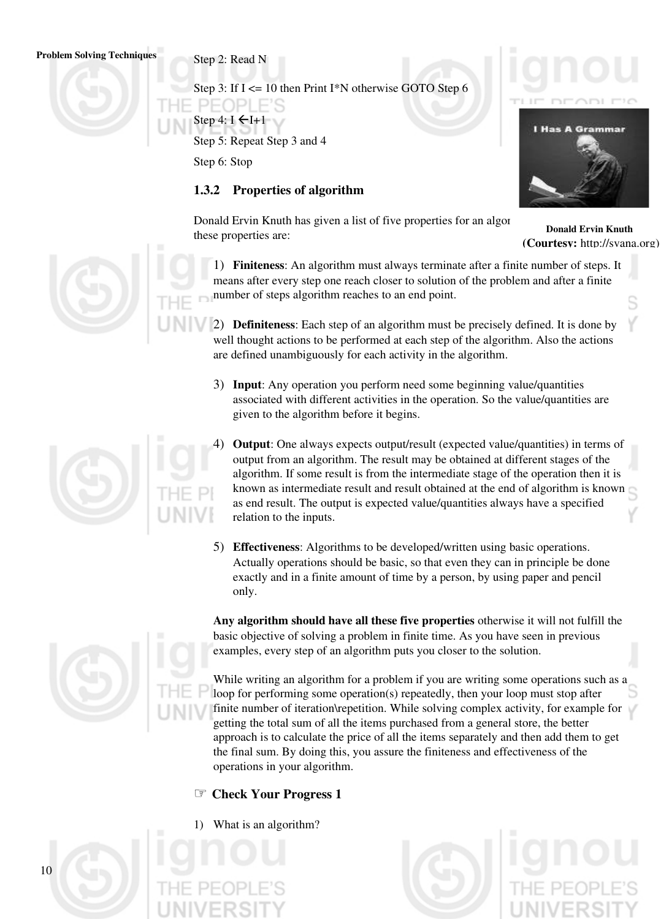### Problem Solving Techniques<br>
Step 2: Read N

Step 3: If  $I \le 10$  then Print I<sup>\*</sup>N otherwise GOTO Step 6

Step 4:  $I \leftarrow I+1$ 

Step 5: Repeat Step 3 and 4

Step 6: Stop

### 1.3.2 Properties of algorithm

Donald Ervin Knuth has given a list of five properties for an algor these properties are:



Donald Ervin Knuth (Courtesy: http://svana.org)

1) Finiteness: An algorithm must always terminate after a finite number of steps. It means after every step one reach closer to solution of the problem and after a finite number of steps algorithm reaches to an end point.

2) Definiteness: Each step of an algorithm must be precisely defined. It is done by well thought actions to be performed at each step of the algorithm. Also the actions are defined unambiguously for each activity in the algorithm.

- 3) Input: Any operation you perform need some beginning value/quantities associated with different activities in the operation. So the value/quantities are given to the algorithm before it begins.
- **Output**: One always expects output/result (expected value/quantities) in terms of output from an algorithm. The result may be obtained at different stages of the algorithm. If some result is from the intermediate stage of the operation then it is known as intermediate result and result obtained at the end of algorithm is known as end result. The output is expected value/quantities always have a specified relation to the inputs.
- 5) Effectiveness: Algorithms to be developed/written using basic operations. Actually operations should be basic, so that even they can in principle be done exactly and in a finite amount of time by a person, by using paper and pencil only.

Any algorithm should have all these five properties otherwise it will not fulfill the basic objective of solving a problem in finite time. As you have seen in previous examples, every step of an algorithm puts you closer to the solution.

While writing an algorithm for a problem if you are writing some operations such as a loop for performing some operation(s) repeatedly, then your loop must stop after finite number of iteration\repetition. While solving complex activity, for example for getting the total sum of all the items purchased from a general store, the better approach is to calculate the price of all the items separately and then add them to get the final sum. By doing this, you assure the finiteness and effectiveness of the operations in your algorithm.

- **Check Your Progress 1**
- 1) What is an algorithm?







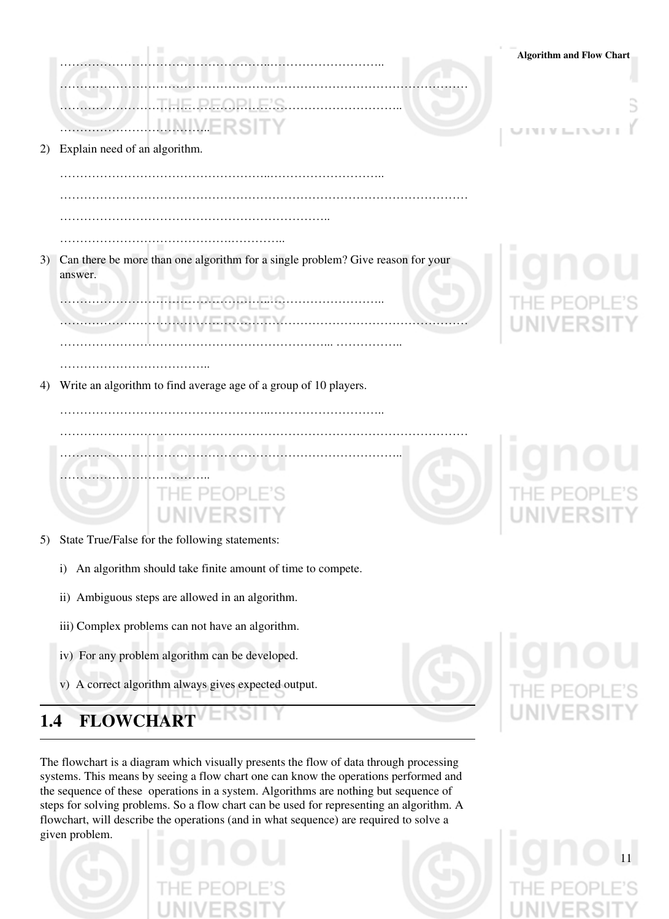|    | <b>I AIM AT I</b>                                                                          | <b>Algorithm and Flow Chart</b> |
|----|--------------------------------------------------------------------------------------------|---------------------------------|
|    |                                                                                            |                                 |
|    |                                                                                            |                                 |
|    | .T.H.F.L.P.F.Q.P.I.F.K.S                                                                   |                                 |
|    | <b>ERSIT</b>                                                                               | UNIVEROI                        |
| 2) | Explain need of an algorithm.                                                              |                                 |
|    |                                                                                            |                                 |
|    |                                                                                            |                                 |
|    |                                                                                            |                                 |
|    |                                                                                            |                                 |
|    |                                                                                            |                                 |
| 3) | Can there be more than one algorithm for a single problem? Give reason for your<br>answer. |                                 |
|    |                                                                                            |                                 |
|    |                                                                                            |                                 |
|    |                                                                                            | <b>UNIVERSIT</b>                |
|    |                                                                                            |                                 |
|    |                                                                                            |                                 |
| 4) | Write an algorithm to find average age of a group of 10 players.                           |                                 |
|    |                                                                                            |                                 |
|    |                                                                                            |                                 |
|    |                                                                                            | ш                               |
|    |                                                                                            |                                 |
|    | ١F.                                                                                        |                                 |
|    |                                                                                            |                                 |
|    | NIVE                                                                                       |                                 |
| 5) | State True/False for the following statements:                                             |                                 |
|    | An algorithm should take finite amount of time to compete.<br>i)                           |                                 |
|    | ii) Ambiguous steps are allowed in an algorithm.                                           |                                 |
|    | iii) Complex problems can not have an algorithm.                                           |                                 |

- iv) For any problem algorithm can be developed.
- v) A correct algorithm always gives expected output.

# 1.4 FLOWCHART

The flowchart is a diagram which visually presents the flow of data through processing systems. This means by seeing a flow chart one can know the operations performed and the sequence of these operations in a system. Algorithms are nothing but sequence of steps for solving problems. So a flow chart can be used for representing an algorithm. A flowchart, will describe the operations (and in what sequence) are required to solve a given problem.





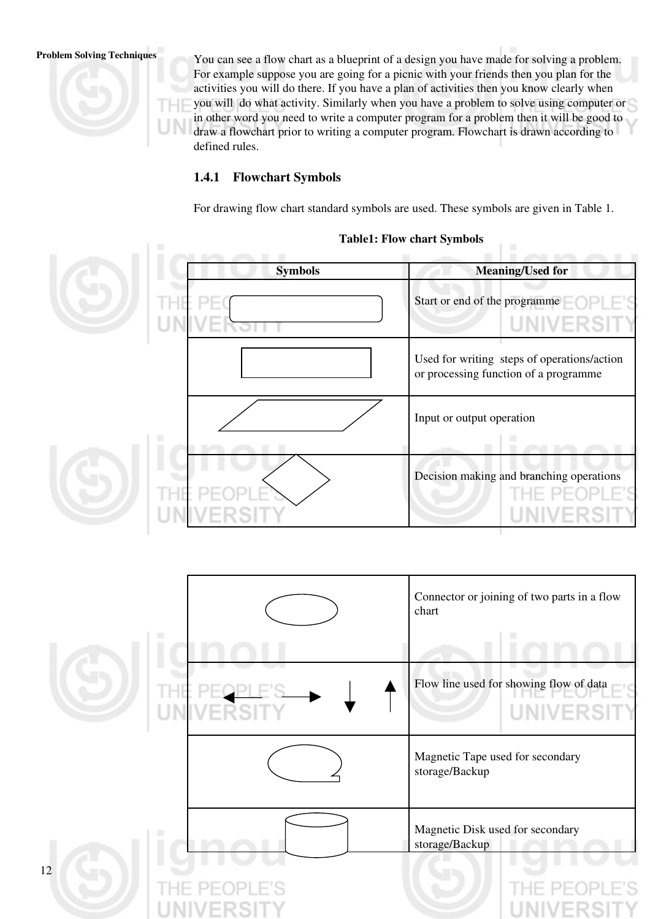



Problem Solving Techniques You can see a flow chart as a blueprint of a design you have made for solving a problem. For example suppose you are going for a picnic with your friends then you plan for the activities you will do there. If you have a plan of activities then you know clearly when you will do what activity. Similarly when you have a problem to solve using computer or in other word you need to write a computer program for a problem then it will be good to draw a flowchart prior to writing a computer program. Flowchart is drawn according to defined rules.

### 1.4.1 Flowchart Symbols

For drawing flow chart standard symbols are used. These symbols are given in Table 1.

|    |                | radici, rion chart dymood                                                            |
|----|----------------|--------------------------------------------------------------------------------------|
|    | <b>Symbols</b> | <b>Meaning/Used for</b>                                                              |
|    |                | Start or end of the programme                                                        |
|    |                | Used for writing steps of operations/action<br>or processing function of a programme |
|    |                | Input or output operation                                                            |
|    |                | ٠<br>an la<br>Decision making and branching operations                               |
|    |                |                                                                                      |
|    |                | Connector or joining of two parts in a flow<br>chart                                 |
|    |                |                                                                                      |
|    |                | Flow line used for showing flow of data                                              |
|    |                | Magnetic Tape used for secondary<br>storage/Backup                                   |
|    | ш<br>I         | Magnetic Disk used for secondary<br>storage/Backup                                   |
| 12 |                |                                                                                      |
|    |                |                                                                                      |

#### Table1: Flow chart Symbols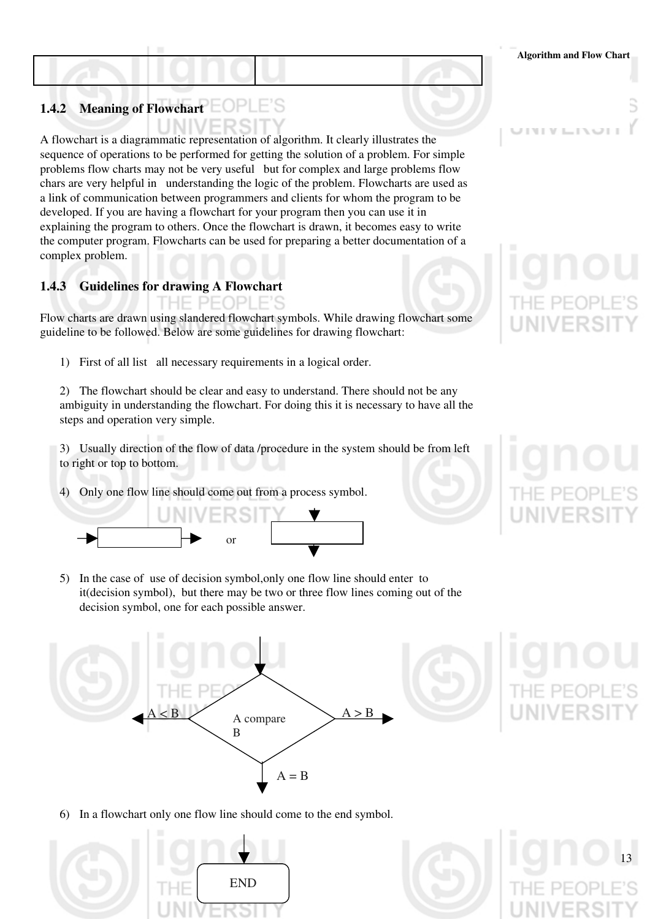**INT VILLINGTH** 

### 1.4.2 Meaning of Flowchart

A flowchart is a diagrammatic representation of algorithm. It clearly illustrates the sequence of operations to be performed for getting the solution of a problem. For simple problems flow charts may not be very useful but for complex and large problems flow chars are very helpful in understanding the logic of the problem. Flowcharts are used as a link of communication between programmers and clients for whom the program to be developed. If you are having a flowchart for your program then you can use it in explaining the program to others. Once the flowchart is drawn, it becomes easy to write the computer program. Flowcharts can be used for preparing a better documentation of a complex problem.

#### 1.4.3 Guidelines for drawing A Flowchart

THE PEOPLE'S

Flow charts are drawn using slandered flowchart symbols. While drawing flowchart some guideline to be followed. Below are some guidelines for drawing flowchart:

1) First of all list all necessary requirements in a logical order.

2) The flowchart should be clear and easy to understand. There should not be any ambiguity in understanding the flowchart. For doing this it is necessary to have all the steps and operation very simple.

3) Usually direction of the flow of data /procedure in the system should be from left to right or top to bottom.

4) Only one flow line should come out from a process symbol.



5) In the case of use of decision symbol,only one flow line should enter to it(decision symbol), but there may be two or three flow lines coming out of the decision symbol, one for each possible answer.



6) In a flowchart only one flow line should come to the end symbol.



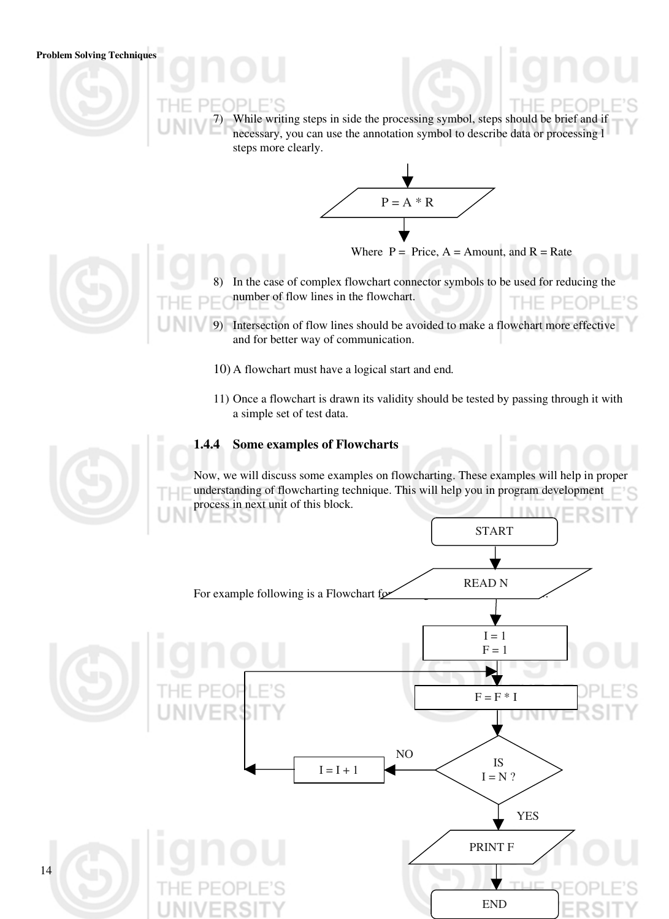#### Problem Solving Techniques

While writing steps in side the processing symbol, steps should be brief and if necessary, you can use the annotation symbol to describe data or processing l steps more clearly.



Where  $P = Price, A = Amount, and R = Rate$ 

- In the case of complex flowchart connector symbols to be used for reducing the number of flow lines in the flowchart. THE PEOPL
- 9) Intersection of flow lines should be avoided to make a flowchart more effective and for better way of communication.
- 10) A flowchart must have a logical start and end*.*
- 11) Once a flowchart is drawn its validity should be tested by passing through it with a simple set of test data.

#### 1.4.4 Some examples of Flowcharts

Now, we will discuss some examples on flowcharting. These examples will help in proper understanding of flowcharting technique. This will help you in program development process in next unit of this block. INII



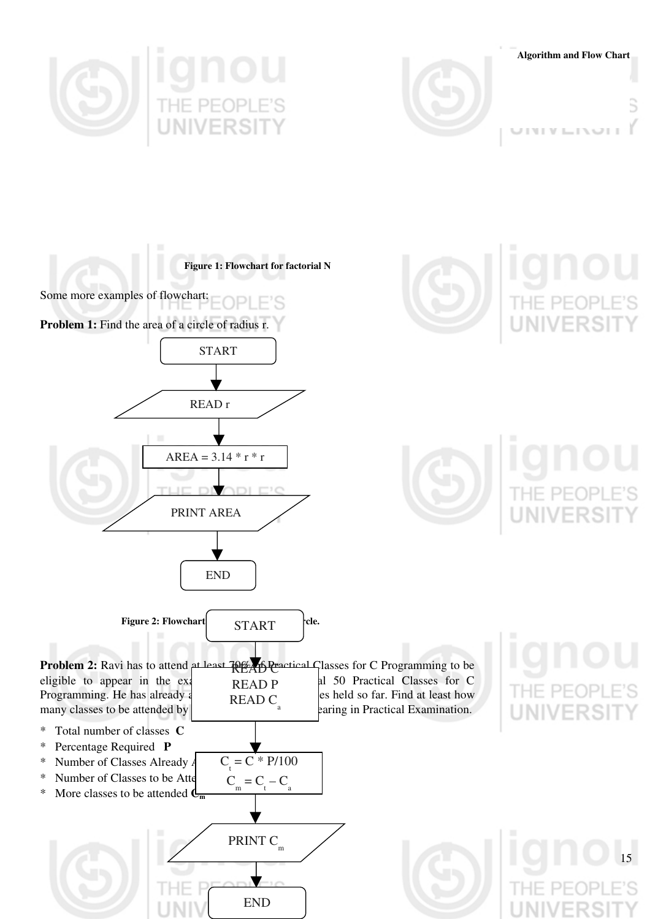

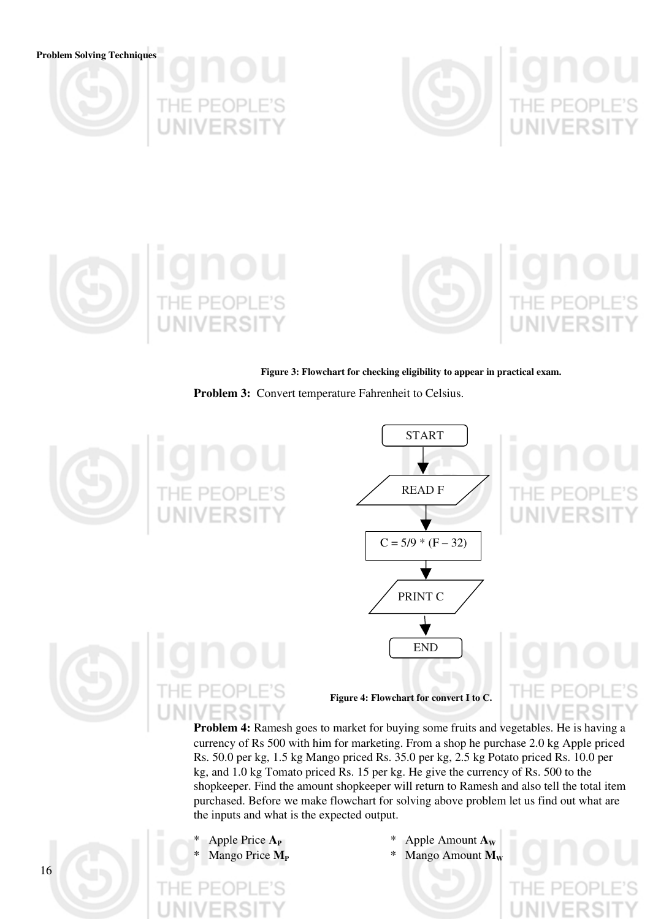Problem Solving Techniques











#### Figure 3: Flowchart for checking eligibility to appear in practical exam.

Problem 3: Convert temperature Fahrenheit to Celsius.



kg, and 1.0 kg Tomato priced Rs. 15 per kg. He give the currency of Rs. 500 to the shopkeeper. Find the amount shopkeeper will return to Ramesh and also tell the total item purchased. Before we make flowchart for solving above problem let us find out what are the inputs and what is the expected output.

- 
- 
- \* Apple Price  $A_P$  \* Apple Amount  $A_W$ 
	- $\text{Mango Price } \mathbf{M_p}$  \*  $\text{Mango Amount } \mathbf{M_w}$

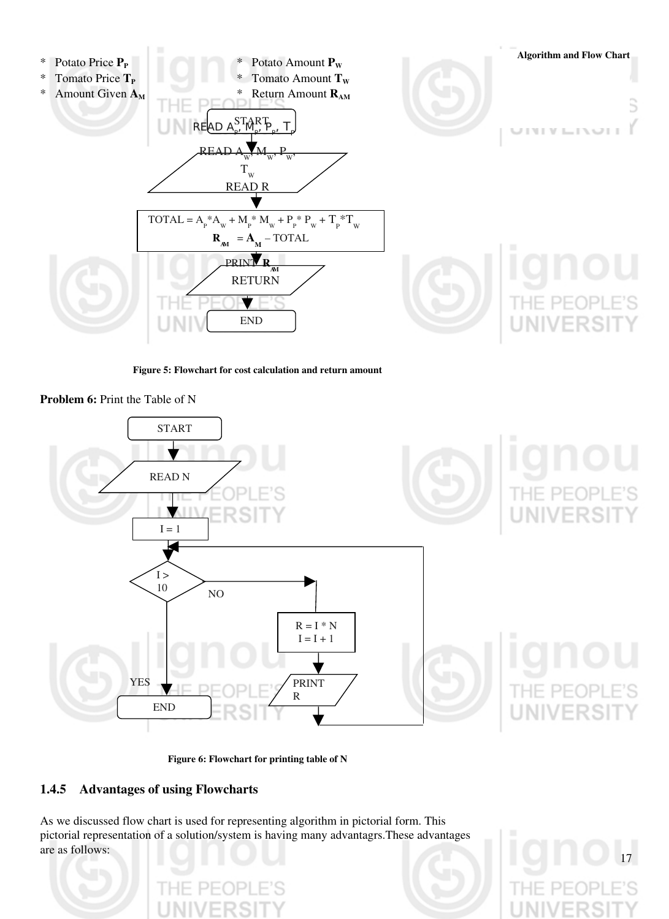

Figure 5: Flowchart for cost calculation and return amount

Problem 6: Print the Table of N



Figure 6: Flowchart for printing table of N

#### 1.4.5 Advantages of using Flowcharts

As we discussed flow chart is used for representing algorithm in pictorial form. This pictorial representation of a solution/system is having many advantagrs.These advantages are as follows:

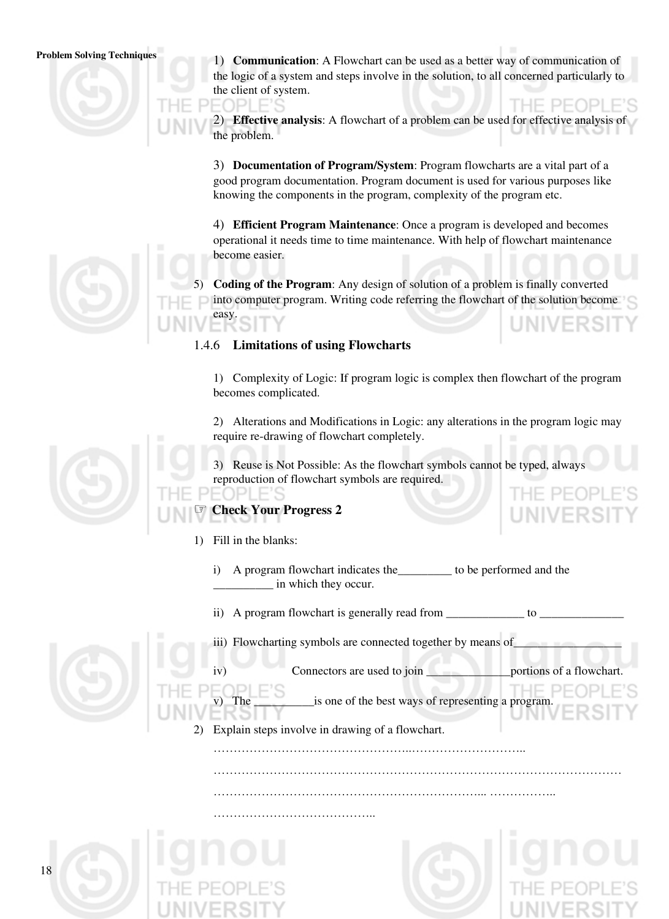Problem Solving Techniques 1) Communication: A Flowchart can be used as a better way of communication of the logic of a system and steps involve in the solution, to all concerned particularly to the client of system.

> 2) Effective analysis: A flowchart of a problem can be used for effective analysis of the problem.

3) Documentation of Program/System: Program flowcharts are a vital part of a good program documentation. Program document is used for various purposes like knowing the components in the program, complexity of the program etc.

4) Efficient Program Maintenance: Once a program is developed and becomes operational it needs time to time maintenance. With help of flowchart maintenance become easier.

5) Coding of the Program: Any design of solution of a problem is finally converted into computer program. Writing code referring the flowchart of the solution become easy.

#### 1.4.6 Limitations of using Flowcharts

1) Complexity of Logic: If program logic is complex then flowchart of the program becomes complicated.

2) Alterations and Modifications in Logic: any alterations in the program logic may require re-drawing of flowchart completely.

3) Reuse is Not Possible: As the flowchart symbols cannot be typed, always reproduction of flowchart symbols are required.

#### ☞ Check Your Progress 2

OPLE'S

1) Fill in the blanks:

7PI.

- i) A program flowchart indicates the\_\_\_\_\_\_\_\_\_ to be performed and the in which they occur.
- ii) A program flowchart is generally read from \_\_\_\_\_\_\_\_\_\_\_\_\_\_\_ to \_\_\_\_\_\_\_\_\_\_\_\_\_\_\_



iii) Flowcharting symbols are connected together by means of

…………………………………………………………………………………………

iv) Connectors are used to join \_\_\_\_\_\_\_\_\_\_\_\_\_\_portions of a flowchart.

is one of the best ways of representing a program.

2) Explain steps involve in drawing of a flowchart.

…………………………………..

 $\mathcal{L}^{(n)}$ 

…………………………………………………………... ……………..



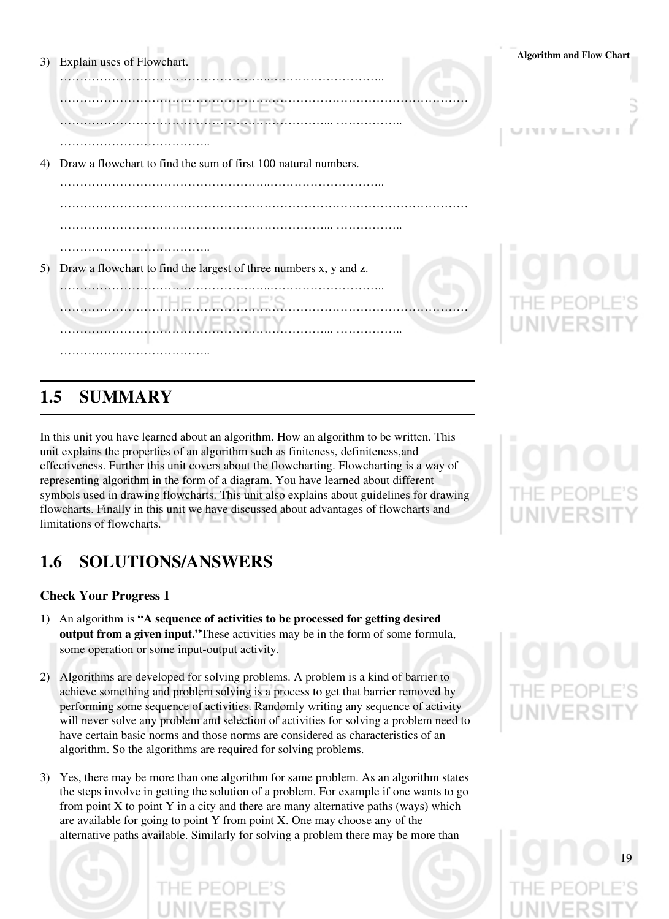|    | 3) Explain uses of Flowchart.                                        | <b>Algorithm and Flow Chart</b> |
|----|----------------------------------------------------------------------|---------------------------------|
|    |                                                                      |                                 |
|    | <b>THE PEOPLE'S</b>                                                  |                                 |
|    |                                                                      | UIVIVL                          |
|    |                                                                      |                                 |
| 4) | Draw a flowchart to find the sum of first 100 natural numbers.       |                                 |
|    |                                                                      |                                 |
|    |                                                                      |                                 |
|    |                                                                      |                                 |
|    |                                                                      |                                 |
|    | 5) Draw a flowchart to find the largest of three numbers x, y and z. |                                 |
|    |                                                                      |                                 |
|    | <b>PEOPLE'S</b>                                                      | THE PEOPLE                      |
|    |                                                                      | <b>UNIVERSIT</b>                |
|    |                                                                      |                                 |

# 1.5 SUMMARY

In this unit you have learned about an algorithm. How an algorithm to be written. This unit explains the properties of an algorithm such as finiteness, definiteness,and effectiveness. Further this unit covers about the flowcharting. Flowcharting is a way of representing algorithm in the form of a diagram. You have learned about different symbols used in drawing flowcharts. This unit also explains about guidelines for drawing flowcharts. Finally in this unit we have discussed about advantages of flowcharts and limitations of flowcharts.

# 1.6 SOLUTIONS/ANSWERS

#### Check Your Progress 1

- 1) An algorithm is "A sequence of activities to be processed for getting desired output from a given input."These activities may be in the form of some formula, some operation or some input-output activity.
- 2) Algorithms are developed for solving problems. A problem is a kind of barrier to achieve something and problem solving is a process to get that barrier removed by performing some sequence of activities. Randomly writing any sequence of activity will never solve any problem and selection of activities for solving a problem need to have certain basic norms and those norms are considered as characteristics of an algorithm. So the algorithms are required for solving problems.
- 3) Yes, there may be more than one algorithm for same problem. As an algorithm states the steps involve in getting the solution of a problem. For example if one wants to go from point  $X$  to point  $Y$  in a city and there are many alternative paths (ways) which are available for going to point Y from point X. One may choose any of the alternative paths available. Similarly for solving a problem there may be more than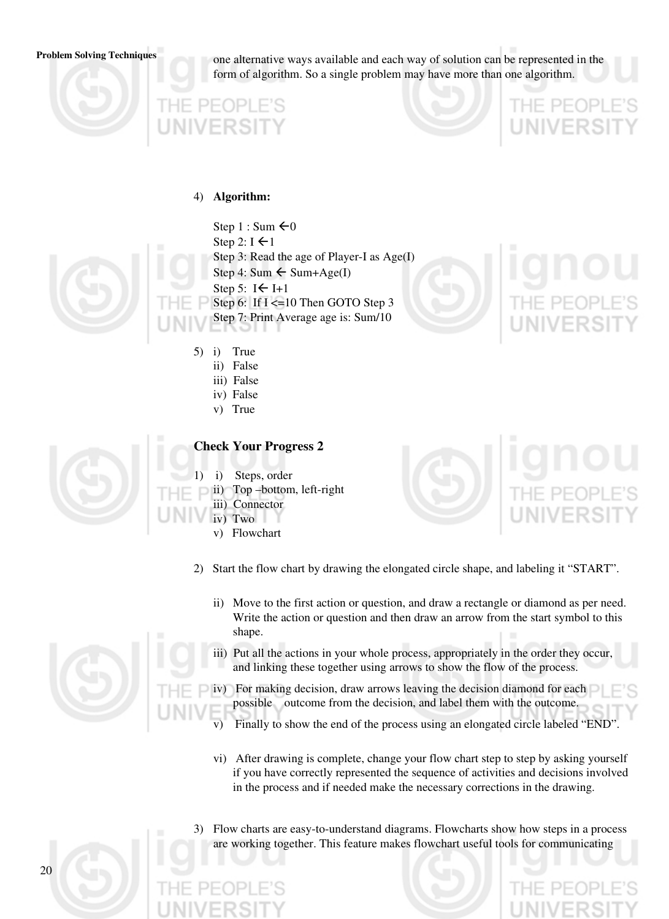Problem Solving Techniques one alternative ways available and each way of solution can be represented in the form of algorithm. So a single problem may have more than one algorithm.



# 4) Algorithm:

Step  $1: Sum \leftarrow 0$ Step 2:  $I \leftarrow 1$ Step 3: Read the age of Player-I as  $Age(I)$ Step 4: Sum  $\leftarrow$  Sum+Age(I) Step 5:  $I \leftarrow I+1$ Step 6: If I <= 10 Then GOTO Step 3 Step 7: Print Average age is: Sum/10

- $5)$  i) True
	- ii) False
	- iii) False
	- iv) False
	- v) True

### Check Your Progress 2

1) i) Steps, order ii) Top –bottom, left-right iii) Connector iv) Two





**JNIVERSI** 

- 2) Start the flow chart by drawing the elongated circle shape, and labeling it "START".
	- ii) Move to the first action or question, and draw a rectangle or diamond as per need. Write the action or question and then draw an arrow from the start symbol to this shape.
	- iii) Put all the actions in your whole process, appropriately in the order they occur, and linking these together using arrows to show the flow of the process.
	- iv) For making decision, draw arrows leaving the decision diamond for each possible outcome from the decision, and label them with the outcome.
	- v) Finally to show the end of the process using an elongated circle labeled "END".
	- vi) After drawing is complete, change your flow chart step to step by asking yourself if you have correctly represented the sequence of activities and decisions involved in the process and if needed make the necessary corrections in the drawing.
- 3) Flow charts are easy-to-understand diagrams. Flowcharts show how steps in a process are working together. This feature makes flowchart useful tools for communicating

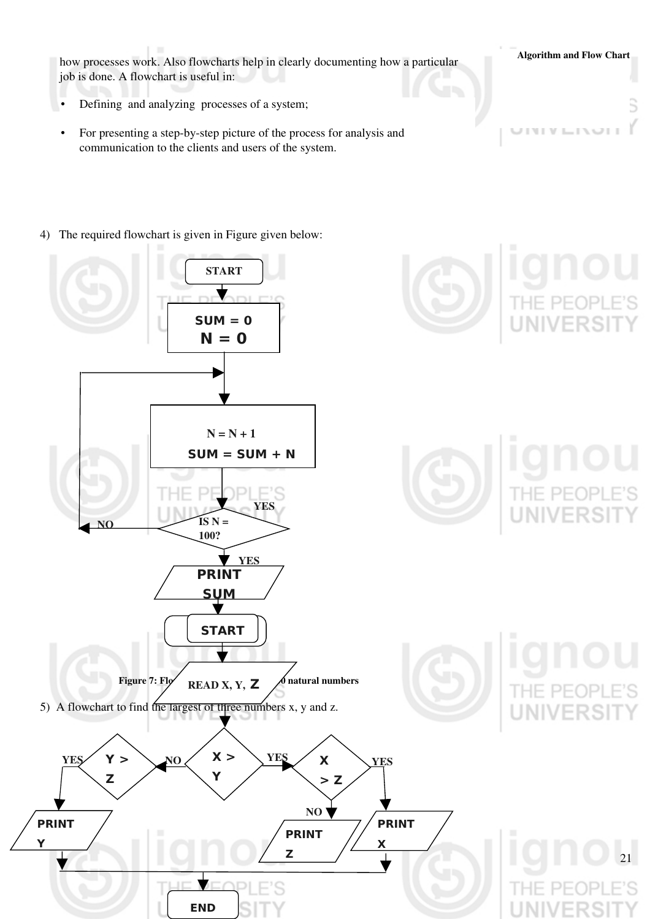how processes work. Also flowcharts help in clearly documenting how a particular **Algorithm and Flow Chart** job is done. A flowchart is useful in:

- Defining and analyzing processes of a system;
- For presenting a step-by-step picture of the process for analysis and communication to the clients and users of the system.

**JIVI V. LIN OT** 

4) The required flowchart is given in Figure given below: